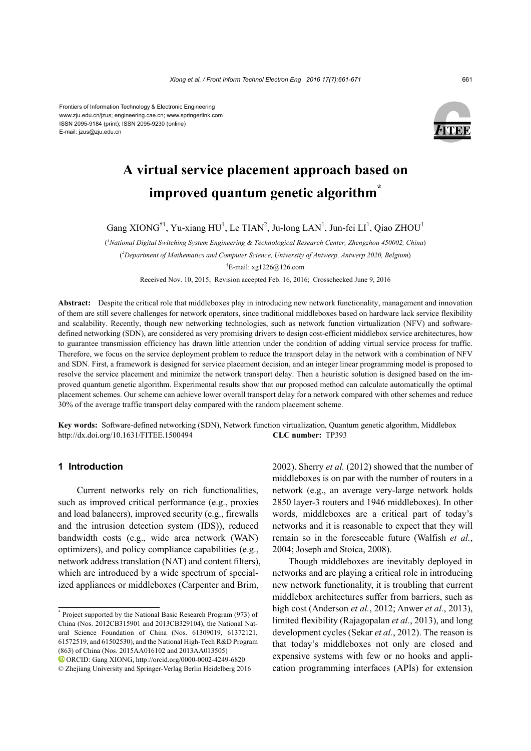Frontiers of Information Technology & Electronic Engineering www.zju.edu.cn/jzus; engineering.cae.cn; www.springerlink.com ISSN 2095-9184 (print); ISSN 2095-9230 (online) E-mail: jzus@zju.edu.cn



# **A virtual service placement approach based on improved quantum genetic algorithm\***

Gang XIONG<sup>†1</sup>, Yu-xiang HU<sup>1</sup>, Le TIAN<sup>2</sup>, Ju-long LAN<sup>1</sup>, Jun-fei LI<sup>1</sup>, Qiao ZHOU<sup>1</sup>

( *1 National Digital Switching System Engineering & Technological Research Center, Zhengzhou 450002, China*)

( *2 Department of Mathematics and Computer Science, University of Antwerp, Antwerp 2020, Belgium*)

† E-mail: xg1226@126.com

Received Nov. 10, 2015; Revision accepted Feb. 16, 2016; Crosschecked June 9, 2016

**Abstract:** Despite the critical role that middleboxes play in introducing new network functionality, management and innovation of them are still severe challenges for network operators, since traditional middleboxes based on hardware lack service flexibility and scalability. Recently, though new networking technologies, such as network function virtualization (NFV) and softwaredefined networking (SDN), are considered as very promising drivers to design cost-efficient middlebox service architectures, how to guarantee transmission efficiency has drawn little attention under the condition of adding virtual service process for traffic. Therefore, we focus on the service deployment problem to reduce the transport delay in the network with a combination of NFV and SDN. First, a framework is designed for service placement decision, and an integer linear programming model is proposed to resolve the service placement and minimize the network transport delay. Then a heuristic solution is designed based on the improved quantum genetic algorithm. Experimental results show that our proposed method can calculate automatically the optimal placement schemes. Our scheme can achieve lower overall transport delay for a network compared with other schemes and reduce 30% of the average traffic transport delay compared with the random placement scheme.

**Key words:** Software-defined networking (SDN), Network function virtualization, Quantum genetic algorithm, Middlebox http://dx.doi.org/10.1631/FITEE.1500494 **CLC number:** TP393

# **1 Introduction**

Current networks rely on rich functionalities, such as improved critical performance (e.g., proxies and load balancers), improved security (e.g., firewalls and the intrusion detection system (IDS)), reduced bandwidth costs (e.g., wide area network (WAN) optimizers), and policy compliance capabilities (e.g., network address translation (NAT) and content filters), which are introduced by a wide spectrum of specialized appliances or middleboxes (Carpenter and Brim,

2002). Sherry *et al.* (2012) showed that the number of middleboxes is on par with the number of routers in a network (e.g., an average very-large network holds 2850 layer-3 routers and 1946 middleboxes). In other words, middleboxes are a critical part of today's networks and it is reasonable to expect that they will remain so in the foreseeable future (Walfish *et al.*, 2004; Joseph and Stoica, 2008).

Though middleboxes are inevitably deployed in networks and are playing a critical role in introducing new network functionality, it is troubling that current middlebox architectures suffer from barriers, such as high cost (Anderson *et al.*, 2012; Anwer *et al.*, 2013), limited flexibility (Rajagopalan *et al.*, 2013), and long development cycles (Sekar *et al.*, 2012). The reason is that today's middleboxes not only are closed and expensive systems with few or no hooks and application programming interfaces (APIs) for extension

<sup>\*</sup> Project supported by the National Basic Research Program (973) of China (Nos. 2012CB315901 and 2013CB329104), the National Natural Science Foundation of China (Nos. 61309019, 61372121, 61572519, and 61502530), and the National High-Tech R&D Program (863) of China (Nos. 2015AA016102 and 2013AA013505) ORCID: Gang XIONG, http://orcid.org/0000-0002-4249-6820 © Zhejiang University and Springer-Verlag Berlin Heidelberg 2016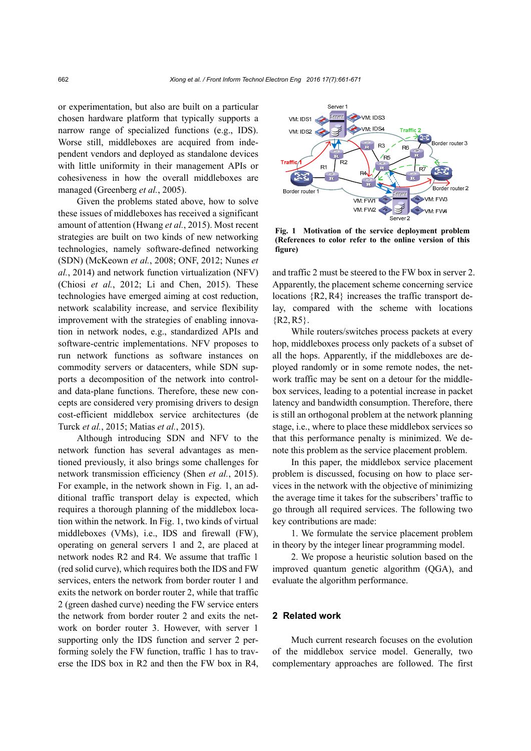or experimentation, but also are built on a particular chosen hardware platform that typically supports a narrow range of specialized functions (e.g., IDS). Worse still, middleboxes are acquired from independent vendors and deployed as standalone devices with little uniformity in their management APIs or cohesiveness in how the overall middleboxes are managed (Greenberg *et al.*, 2005).

Given the problems stated above, how to solve these issues of middleboxes has received a significant amount of attention (Hwang *et al.*, 2015). Most recent strategies are built on two kinds of new networking technologies, namely software-defined networking (SDN) (McKeown *et al.*, 2008; ONF, 2012; Nunes *et al.*, 2014) and network function virtualization (NFV) (Chiosi *et al.*, 2012; Li and Chen, 2015). These technologies have emerged aiming at cost reduction, network scalability increase, and service flexibility improvement with the strategies of enabling innovation in network nodes, e.g., standardized APIs and software-centric implementations. NFV proposes to run network functions as software instances on commodity servers or datacenters, while SDN supports a decomposition of the network into controland data-plane functions. Therefore, these new concepts are considered very promising drivers to design cost-efficient middlebox service architectures (de Turck *et al.*, 2015; Matias *et al.*, 2015).

Although introducing SDN and NFV to the network function has several advantages as mentioned previously, it also brings some challenges for network transmission efficiency (Shen *et al.*, 2015). For example, in the network shown in Fig. 1, an additional traffic transport delay is expected, which requires a thorough planning of the middlebox location within the network. In Fig. 1, two kinds of virtual middleboxes (VMs), i.e., IDS and firewall (FW), operating on general servers 1 and 2, are placed at network nodes R2 and R4. We assume that traffic 1 (red solid curve), which requires both the IDS and FW services, enters the network from border router 1 and exits the network on border router 2, while that traffic 2 (green dashed curve) needing the FW service enters the network from border router 2 and exits the network on border router 3. However, with server 1 supporting only the IDS function and server 2 performing solely the FW function, traffic 1 has to traverse the IDS box in R2 and then the FW box in R4,



**Fig. 1 Motivation of the service deployment problem (References to color refer to the online version of this figure)**

and traffic 2 must be steered to the FW box in server 2. Apparently, the placement scheme concerning service locations  $\{R2, R4\}$  increases the traffic transport delay, compared with the scheme with locations  ${R2, R5}$ .

While routers/switches process packets at every hop, middleboxes process only packets of a subset of all the hops. Apparently, if the middleboxes are deployed randomly or in some remote nodes, the network traffic may be sent on a detour for the middlebox services, leading to a potential increase in packet latency and bandwidth consumption. Therefore, there is still an orthogonal problem at the network planning stage, i.e., where to place these middlebox services so that this performance penalty is minimized. We denote this problem as the service placement problem.

In this paper, the middlebox service placement problem is discussed, focusing on how to place services in the network with the objective of minimizing the average time it takes for the subscribers' traffic to go through all required services. The following two key contributions are made:

1. We formulate the service placement problem in theory by the integer linear programming model.

2. We propose a heuristic solution based on the improved quantum genetic algorithm (QGA), and evaluate the algorithm performance.

## **2 Related work**

Much current research focuses on the evolution of the middlebox service model. Generally, two complementary approaches are followed. The first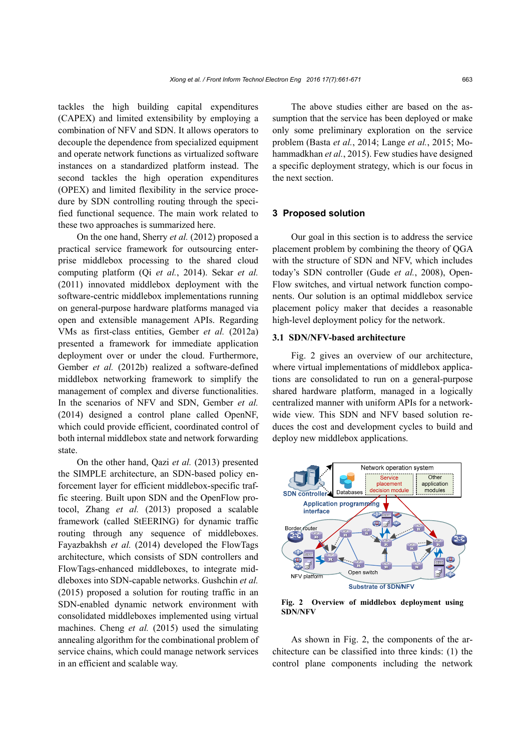tackles the high building capital expenditures (CAPEX) and limited extensibility by employing a combination of NFV and SDN. It allows operators to decouple the dependence from specialized equipment and operate network functions as virtualized software instances on a standardized platform instead. The second tackles the high operation expenditures (OPEX) and limited flexibility in the service procedure by SDN controlling routing through the specified functional sequence. The main work related to these two approaches is summarized here.

On the one hand, Sherry *et al.* (2012) proposed a practical service framework for outsourcing enterprise middlebox processing to the shared cloud computing platform (Qi *et al.*, 2014). Sekar *et al.* (2011) innovated middlebox deployment with the software-centric middlebox implementations running on general-purpose hardware platforms managed via open and extensible management APIs. Regarding VMs as first-class entities, Gember *et al.* (2012a) presented a framework for immediate application deployment over or under the cloud. Furthermore, Gember *et al.* (2012b) realized a software-defined middlebox networking framework to simplify the management of complex and diverse functionalities. In the scenarios of NFV and SDN, Gember *et al.* (2014) designed a control plane called OpenNF, which could provide efficient, coordinated control of both internal middlebox state and network forwarding state.

On the other hand, Qazi *et al.* (2013) presented the SIMPLE architecture, an SDN-based policy enforcement layer for efficient middlebox-specific traffic steering. Built upon SDN and the OpenFlow protocol, Zhang *et al.* (2013) proposed a scalable framework (called StEERING) for dynamic traffic routing through any sequence of middleboxes. Fayazbakhsh *et al.* (2014) developed the FlowTags architecture, which consists of SDN controllers and FlowTags-enhanced middleboxes, to integrate middleboxes into SDN-capable networks. Gushchin *et al.* (2015) proposed a solution for routing traffic in an SDN-enabled dynamic network environment with consolidated middleboxes implemented using virtual machines. Cheng *et al.* (2015) used the simulating annealing algorithm for the combinational problem of service chains, which could manage network services in an efficient and scalable way.

The above studies either are based on the assumption that the service has been deployed or make only some preliminary exploration on the service problem (Basta *et al.*, 2014; Lange *et al.*, 2015; Mohammadkhan *et al.*, 2015). Few studies have designed a specific deployment strategy, which is our focus in the next section.

## **3 Proposed solution**

Our goal in this section is to address the service placement problem by combining the theory of QGA with the structure of SDN and NFV, which includes today's SDN controller (Gude *et al.*, 2008), Open-Flow switches, and virtual network function components. Our solution is an optimal middlebox service placement policy maker that decides a reasonable high-level deployment policy for the network.

## **3.1 SDN/NFV-based architecture**

Fig. 2 gives an overview of our architecture, where virtual implementations of middlebox applications are consolidated to run on a general-purpose shared hardware platform, managed in a logically centralized manner with uniform APIs for a networkwide view. This SDN and NFV based solution reduces the cost and development cycles to build and deploy new middlebox applications.



**Fig. 2 Overview of middlebox deployment using SDN/NFV** 

As shown in Fig. 2, the components of the architecture can be classified into three kinds: (1) the control plane components including the network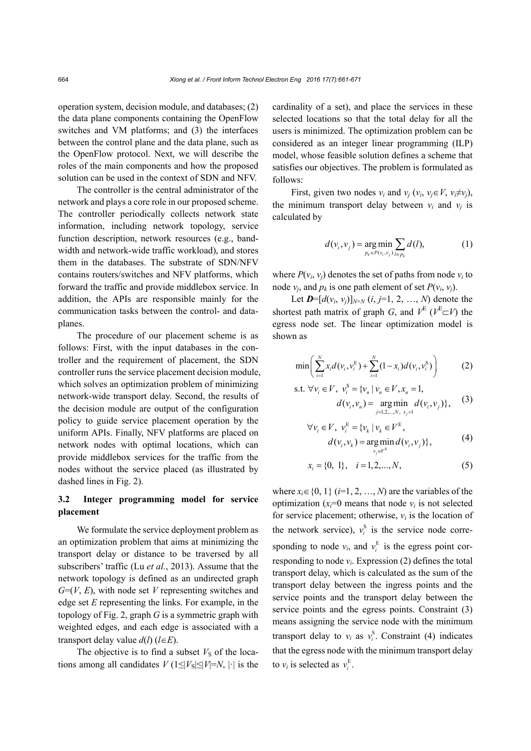operation system, decision module, and databases; (2) the data plane components containing the OpenFlow switches and VM platforms; and (3) the interfaces between the control plane and the data plane, such as the OpenFlow protocol. Next, we will describe the roles of the main components and how the proposed solution can be used in the context of SDN and NFV.

The controller is the central administrator of the network and plays a core role in our proposed scheme. The controller periodically collects network state information, including network topology, service function description, network resources (e.g., bandwidth and network-wide traffic workload), and stores them in the databases. The substrate of SDN/NFV contains routers/switches and NFV platforms, which forward the traffic and provide middlebox service. In addition, the APIs are responsible mainly for the communication tasks between the control- and dataplanes.

The procedure of our placement scheme is as follows: First, with the input databases in the controller and the requirement of placement, the SDN controller runs the service placement decision module, which solves an optimization problem of minimizing network-wide transport delay. Second, the results of the decision module are output of the configuration policy to guide service placement operation by the uniform APIs. Finally, NFV platforms are placed on network nodes with optimal locations, which can provide middlebox services for the traffic from the nodes without the service placed (as illustrated by dashed lines in Fig. 2).

# **3.2 Integer programming model for service placement**

We formulate the service deployment problem as an optimization problem that aims at minimizing the transport delay or distance to be traversed by all subscribers' traffic (Lu *et al.*, 2013). Assume that the network topology is defined as an undirected graph *G*=(*V*, *E*), with node set *V* representing switches and edge set *E* representing the links. For example, in the topology of Fig. 2, graph *G* is a symmetric graph with weighted edges, and each edge is associated with a transport delay value  $d(l)$  ( $l \in E$ ).

The objective is to find a subset  $V<sub>S</sub>$  of the locations among all candidates  $V(1 \leq |V_S| \leq |V|=N, |\cdot|]$  is the cardinality of a set), and place the services in these selected locations so that the total delay for all the users is minimized. The optimization problem can be considered as an integer linear programming (ILP) model, whose feasible solution defines a scheme that satisfies our objectives. The problem is formulated as follows:

First, given two nodes  $v_i$  and  $v_j$  ( $v_i$ ,  $v_j \in V$ ,  $v_i \neq v_j$ ), the minimum transport delay between  $v_i$  and  $v_j$  is calculated by

$$
d(v_i, v_j) = \underset{p_k \in P(v_i, v_j)}{\arg \min} \sum_{l \in p_k} d(l), \tag{1}
$$

where  $P(v_i, v_j)$  denotes the set of paths from node  $v_i$  to node  $v_i$ , and  $p_k$  is one path element of set  $P(v_i, v_j)$ .

Let  $\mathbf{D} = [d(v_i, v_j)]_{N \times N}$  (*i*, *j*=1, 2, …, *N*) denote the shortest path matrix of graph *G*, and  $V^E$  ( $V^E \subset V$ ) the egress node set. The linear optimization model is shown as

$$
\min \bigg( \sum_{i=1}^{N} x_i d(v_i, v_i^E) + \sum_{i=1}^{N} (1 - x_i) d(v_i, v_i^S) \bigg) \tag{2}
$$

s.t. 
$$
\forall v_i \in V, v_i^S = \{v_n | v_n \in V, x_n = 1,
$$
  
\n
$$
d(v_i, v_n) = \underset{j=1,2,\dots,N, \ x_j=1}{\arg\min} d(v_i, v_j),
$$
\n(3)

$$
\forall v_i \in V, v_i^E = \{v_k \mid v_k \in V^E, \nd(v_i, v_k) = \underset{v_j \in V^E}{\text{arg min}} d(v_i, v_j)\},
$$
\n(4)

$$
x_i = \{0, 1\}, \quad i = 1, 2, \dots, N,
$$
 (5)

where  $x_i \in \{0, 1\}$  (*i*=1, 2, ..., *N*) are the variables of the optimization  $(x_i=0$  means that node  $v_i$  is not selected for service placement; otherwise,  $v_i$  is the location of the network service),  $v_i^s$  is the service node corresponding to node  $v_i$ , and  $v_i^E$  is the egress point corresponding to node  $v_i$ . Expression (2) defines the total transport delay, which is calculated as the sum of the transport delay between the ingress points and the service points and the transport delay between the service points and the egress points. Constraint (3) means assigning the service node with the minimum transport delay to  $v_i$  as  $v_i^S$ . Constraint (4) indicates that the egress node with the minimum transport delay to  $v_i$  is selected as  $v_i^E$ .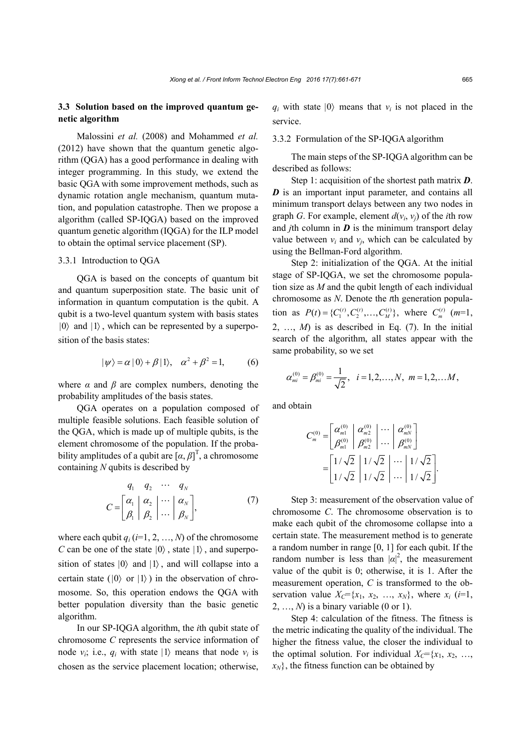# **3.3 Solution based on the improved quantum genetic algorithm**

Malossini *et al.* (2008) and Mohammed *et al.* (2012) have shown that the quantum genetic algorithm (QGA) has a good performance in dealing with integer programming. In this study, we extend the basic QGA with some improvement methods, such as dynamic rotation angle mechanism, quantum mutation, and population catastrophe. Then we propose a algorithm (called SP-IQGA) based on the improved quantum genetic algorithm (IQGA) for the ILP model to obtain the optimal service placement (SP).

## 3.3.1 Introduction to QGA

QGA is based on the concepts of quantum bit and quantum superposition state. The basic unit of information in quantum computation is the qubit. A qubit is a two-level quantum system with basis states  $|0\rangle$  and  $|1\rangle$ , which can be represented by a superposition of the basis states:

$$
|\psi\rangle = \alpha |0\rangle + \beta |1\rangle, \quad \alpha^2 + \beta^2 = 1,\tag{6}
$$

where  $\alpha$  and  $\beta$  are complex numbers, denoting the probability amplitudes of the basis states.

QGA operates on a population composed of multiple feasible solutions. Each feasible solution of the QGA, which is made up of multiple qubits, is the element chromosome of the population. If the probability amplitudes of a qubit are  $[\alpha, \beta]^T$ , a chromosome containing *N* qubits is described by

$$
C = \begin{bmatrix} q_1 & q_2 & \cdots & q_N \\ \alpha_1 & \alpha_2 & \cdots & \alpha_N \\ \beta_1 & \beta_2 & \cdots & \beta_N \end{bmatrix},
$$
 (7)

where each qubit  $q_i$  ( $i=1, 2, ..., N$ ) of the chromosome *C* can be one of the state  $|0\rangle$ , state  $|1\rangle$ , and superposition of states  $|0\rangle$  and  $|1\rangle$ , and will collapse into a certain state ( $|0\rangle$  or  $|1\rangle$ ) in the observation of chromosome. So, this operation endows the QGA with better population diversity than the basic genetic algorithm.

In our SP-IQGA algorithm, the *i*th qubit state of chromosome *C* represents the service information of node  $v_i$ ; i.e.,  $q_i$  with state  $|1\rangle$  means that node  $v_i$  is chosen as the service placement location; otherwise,

 $q_i$  with state  $|0\rangle$  means that  $v_i$  is not placed in the service.

#### 3.3.2 Formulation of the SP-IQGA algorithm

The main steps of the SP-IQGA algorithm can be described as follows:

Step 1: acquisition of the shortest path matrix *D*. *D* is an important input parameter, and contains all minimum transport delays between any two nodes in graph *G*. For example, element  $d(v_i, v_j)$  of the *i*th row and *j*th column in  $\boldsymbol{D}$  is the minimum transport delay value between  $v_i$  and  $v_j$ , which can be calculated by using the Bellman-Ford algorithm.

Step 2: initialization of the QGA. At the initial stage of SP-IQGA, we set the chromosome population size as *M* and the qubit length of each individual chromosome as *N*. Denote the *t*th generation population as  $P(t) = \{C_1^{(t)}, C_2^{(t)}, \dots, C_M^{(t)}\}$ , where  $C_m^{(t)}$  (*m*=1, 2, ...,  $M$ ) is as described in Eq. (7). In the initial search of the algorithm, all states appear with the same probability, so we set

$$
\alpha_{mi}^{(0)} = \beta_{mi}^{(0)} = \frac{1}{\sqrt{2}}, \quad i = 1, 2, ..., N, \quad m = 1, 2, ... M,
$$

and obtain

$$
C_{m}^{(0)} = \begin{bmatrix} \alpha_{m1}^{(0)} & \alpha_{m2}^{(0)} & \cdots & \alpha_{mN}^{(0)} \\ \beta_{m1}^{(0)} & \beta_{m2}^{(0)} & \cdots & \beta_{mN}^{(0)} \end{bmatrix}
$$

$$
= \begin{bmatrix} 1/\sqrt{2} & 1/\sqrt{2} & \cdots & 1/\sqrt{2} \\ 1/\sqrt{2} & 1/\sqrt{2} & \cdots & 1/\sqrt{2} \end{bmatrix}.
$$

Step 3: measurement of the observation value of chromosome *C*. The chromosome observation is to make each qubit of the chromosome collapse into a certain state. The measurement method is to generate a random number in range [0, 1] for each qubit. If the random number is less than  $|\alpha|^2$ , the measurement value of the qubit is 0; otherwise, it is 1. After the measurement operation, *C* is transformed to the observation value  $X_c = \{x_1, x_2, ..., x_N\}$ , where  $x_i$  (*i*=1,  $2, \ldots, N$ ) is a binary variable (0 or 1).

Step 4: calculation of the fitness. The fitness is the metric indicating the quality of the individual. The higher the fitness value, the closer the individual to the optimal solution. For individual  $X_C = \{x_1, x_2, \ldots, x_n\}$  $x_N$ , the fitness function can be obtained by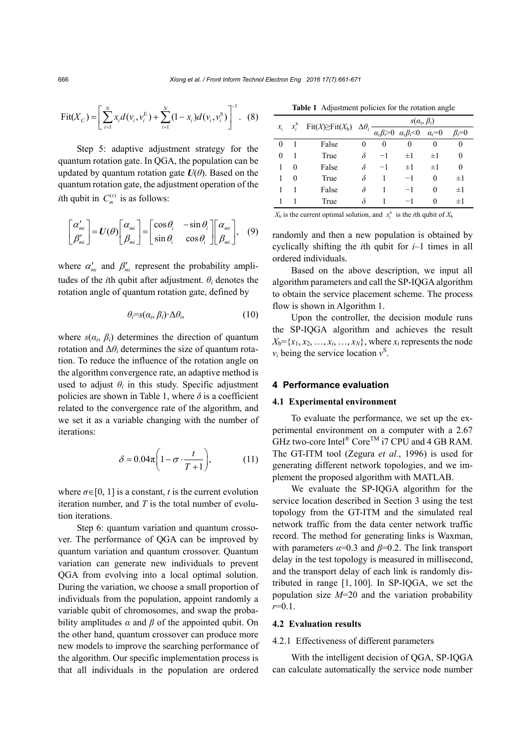$$
Fit(X_C) = \left[ \sum_{i=1}^{N} x_i d(v_i, v_i^{E}) + \sum_{i=1}^{N} (1 - x_i) d(v_i, v_i^{S}) \right]^{-1}.
$$
 (8)

Step 5: adaptive adjustment strategy for the quantum rotation gate. In QGA, the population can be updated by quantum rotation gate  $U(\theta)$ . Based on the quantum rotation gate, the adjustment operation of the *i*th qubit in  $C_m^{(t)}$  is as follows:

$$
\begin{bmatrix} \alpha'_{mi} \\ \beta'_{mi} \end{bmatrix} = U(\theta) \begin{bmatrix} \alpha_{mi} \\ \beta_{mi} \end{bmatrix} = \begin{bmatrix} \cos \theta_i & -\sin \theta_i \\ \sin \theta_i & \cos \theta_i \end{bmatrix} \begin{bmatrix} \alpha_{mi} \\ \beta_{mi} \end{bmatrix}, \quad (9)
$$

where  $\alpha'_{mi}$  and  $\beta'_{mi}$  represent the probability amplitudes of the *i*th qubit after adjustment.  $\theta_i$  denotes the rotation angle of quantum rotation gate, defined by

$$
\theta_i = s(\alpha_i, \beta_i) \Delta \theta_i, \qquad (10)
$$

where  $s(\alpha_i, \beta_i)$  determines the direction of quantum rotation and  $\Delta\theta_i$  determines the size of quantum rotation. To reduce the influence of the rotation angle on the algorithm convergence rate, an adaptive method is used to adjust  $\theta_i$  in this study. Specific adjustment policies are shown in Table 1, where  $\delta$  is a coefficient related to the convergence rate of the algorithm, and we set it as a variable changing with the number of iterations:

$$
\delta = 0.04\pi \left(1 - \sigma \cdot \frac{t}{T+1}\right),\tag{11}
$$

where  $\sigma \in [0, 1]$  is a constant, *t* is the current evolution iteration number, and *T* is the total number of evolution iterations.

Step 6: quantum variation and quantum crossover. The performance of QGA can be improved by quantum variation and quantum crossover. Quantum variation can generate new individuals to prevent QGA from evolving into a local optimal solution. During the variation, we choose a small proportion of individuals from the population, appoint randomly a variable qubit of chromosomes, and swap the probability amplitudes  $\alpha$  and  $\beta$  of the appointed qubit. On the other hand, quantum crossover can produce more new models to improve the searching performance of the algorithm. Our specific implementation process is that all individuals in the population are ordered

**Table 1** Adjustment policies for the rotation angle

| $\mathcal{X}_i$ | $x_i^{\rm b}$ | $Fit(X) \geq Fit(X_b)$ | $\Delta\theta_i$ | $s(\alpha_i, \beta_i)$ |                                                              |              |               |
|-----------------|---------------|------------------------|------------------|------------------------|--------------------------------------------------------------|--------------|---------------|
|                 |               |                        |                  |                        | $\alpha_i \beta_i > 0$ $\alpha_i \beta_i < 0$ $\alpha_i = 0$ |              | $\beta_i = 0$ |
|                 |               | False                  |                  | 0                      | 0                                                            | 0            | 0             |
| $\theta$        |               | True                   | δ                | $-1$                   | $\pm 1$                                                      | $\pm 1$      | 0             |
|                 | 0             | False                  | δ                | $-1$                   | $\pm 1$                                                      | $\pm 1$      | 0             |
|                 | 0             | True                   | δ                |                        | $-1$                                                         | 0            | $\pm 1$       |
|                 |               | False                  | δ                |                        | $-1$                                                         | 0            | $\pm 1$       |
|                 |               | True                   |                  |                        |                                                              | $\mathbf{0}$ | $\pm 1$       |

 $X_b$  is the current optimal solution, and  $x_i^b$  is the *i*th qubit of  $X_b$ 

randomly and then a new population is obtained by cyclically shifting the *i*th qubit for *i*–1 times in all ordered individuals.

Based on the above description, we input all algorithm parameters and call the SP-IQGA algorithm to obtain the service placement scheme. The process flow is shown in Algorithm 1.

Upon the controller, the decision module runs the SP-IQGA algorithm and achieves the result  $X_b = \{x_1, x_2, \ldots, x_i, \ldots, x_N\}$ , where  $x_i$  represents the node  $v_i$  being the service location  $v^S$ .

#### **4 Performance evaluation**

#### **4.1 Experimental environment**

To evaluate the performance, we set up the experimental environment on a computer with a 2.67 GHz two-core Intel® Core<sup>TM</sup> i7 CPU and 4 GB RAM. The GT-ITM tool (Zegura *et al.*, 1996) is used for generating different network topologies, and we implement the proposed algorithm with MATLAB.

We evaluate the SP-IQGA algorithm for the service location described in Section 3 using the test topology from the GT-ITM and the simulated real network traffic from the data center network traffic record. The method for generating links is Waxman, with parameters  $\alpha=0.3$  and  $\beta=0.2$ . The link transport delay in the test topology is measured in millisecond, and the transport delay of each link is randomly distributed in range [1, 100]. In SP-IQGA, we set the population size *M*=20 and the variation probability *r*=0.1.

## **4.2 Evaluation results**

## 4.2.1 Effectiveness of different parameters

With the intelligent decision of QGA, SP-IQGA can calculate automatically the service node number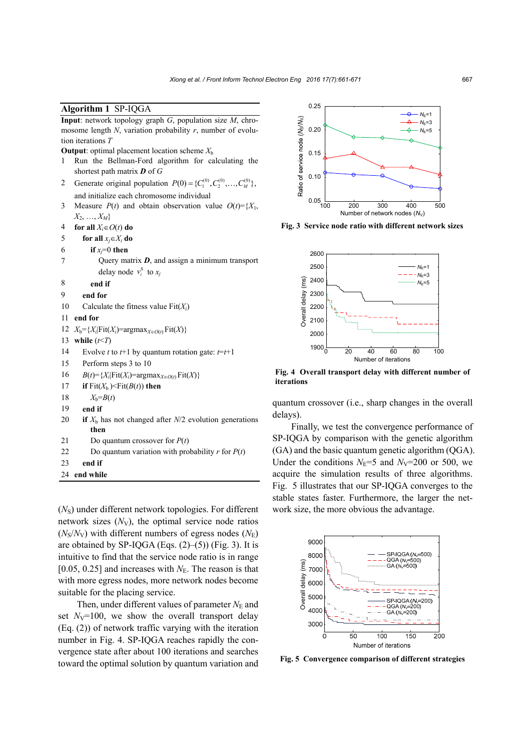## **Algorithm 1** SP-IQGA

**Input**: network topology graph *G*, population size *M*, chromosome length *N*, variation probability *r*, number of evolution iterations *T* 

**Output**: optimal placement location scheme  $X_b$ 

- 1 Run the Bellman-Ford algorithm for calculating the shortest path matrix *D* of *G*
- 2 Generate original population  $P(0) = \{C_1^{(0)}, C_2^{(0)}, \ldots, C_M^{(0)}\}$ , and initialize each chromosome individual
- 3 Measure  $P(t)$  and obtain observation value  $O(t) = \{X_1, X_2, \ldots, X_n\}$ *X*2, …, *XM*}
- 4 **for all**  $X_i \in O(t)$  **do**
- 5 **for all**  $x_i \in X_i$  **do**
- 6 **if**  $x_i=0$  **then**
- 7 Query matrix *D*, and assign a minimum transport delay node  $v_i^s$  to  $x_j$
- 8 **end if**
- 9 **end for**
- 10 Calculate the fitness value Fit(*Xi*)
- 11 **end for**
- 12  $X_b = \{X_i | \text{Fit}(X_i) = \text{argmax}_{X \in O(t)} \text{Fit}(X) \}$
- 13 **while** (*t*<*T*)
- 14 Evolve *t* to  $t+1$  by quantum rotation gate:  $t=t+1$
- 15 Perform steps 3 to 10
- 16  $B(t)=\{X_i|\text{Fit}(X_i)=\text{argmax}_{X \in O(t)} \text{Fit}(X)\}$
- 17 **if**  $\text{Fit}(X_b) < \text{Fit}(B(t))$  then
- 18  $X_b = B(t)$
- 19 **end if**
- 20 **if**  $X<sub>b</sub>$  has not changed after  $N/2$  evolution generations **then**
- 21 Do quantum crossover for *P*(*t*)
- 22 Do quantum variation with probability  $r$  for  $P(t)$
- 23 **end if**
- 24 **end while**

( $N<sub>S</sub>$ ) under different network topologies. For different network sizes  $(N_V)$ , the optimal service node ratios  $(N_s/N_v)$  with different numbers of egress nodes  $(N_F)$ are obtained by SP-IQGA (Eqs.  $(2)$ – $(5)$ ) (Fig. 3). It is intuitive to find that the service node ratio is in range [0.05, 0.25] and increases with  $N<sub>E</sub>$ . The reason is that with more egress nodes, more network nodes become suitable for the placing service.

Then, under different values of parameter  $N_{\rm E}$  and set  $N_V=100$ , we show the overall transport delay (Eq. (2)) of network traffic varying with the iteration number in Fig. 4. SP-IQGA reaches rapidly the convergence state after about 100 iterations and searches toward the optimal solution by quantum variation and



**Fig. 3 Service node ratio with different network sizes** 



**Fig. 4 Overall transport delay with different number of iterations** 

quantum crossover (i.e., sharp changes in the overall delays).

Finally, we test the convergence performance of SP-IQGA by comparison with the genetic algorithm (GA) and the basic quantum genetic algorithm (QGA). Under the conditions  $N_E=5$  and  $N_V=200$  or 500, we acquire the simulation results of three algorithms. Fig. 5 illustrates that our SP-IQGA converges to the stable states faster. Furthermore, the larger the network size, the more obvious the advantage.

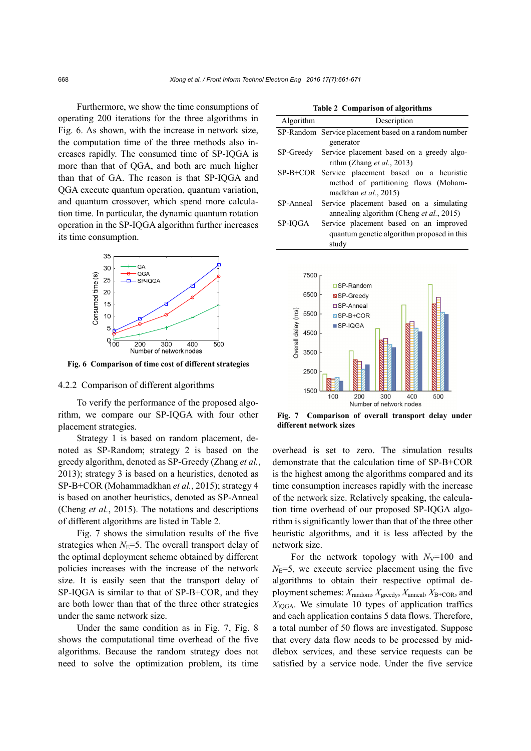Furthermore, we show the time consumptions of operating 200 iterations for the three algorithms in Fig. 6. As shown, with the increase in network size, the computation time of the three methods also increases rapidly. The consumed time of SP-IQGA is more than that of QGA, and both are much higher than that of GA. The reason is that SP-IQGA and QGA execute quantum operation, quantum variation, and quantum crossover, which spend more calculation time. In particular, the dynamic quantum rotation operation in the SP-IQGA algorithm further increases its time consumption.



**Fig. 6 Comparison of time cost of different strategies**

#### 4.2.2 Comparison of different algorithms

To verify the performance of the proposed algorithm, we compare our SP-IQGA with four other placement strategies.

Strategy 1 is based on random placement, denoted as SP-Random; strategy 2 is based on the greedy algorithm, denoted as SP-Greedy (Zhang *et al.*, 2013); strategy 3 is based on a heuristics, denoted as SP-B+COR (Mohammadkhan *et al.*, 2015); strategy 4 is based on another heuristics, denoted as SP-Anneal (Cheng *et al.*, 2015). The notations and descriptions of different algorithms are listed in Table 2.

Fig. 7 shows the simulation results of the five strategies when  $N<sub>E</sub>=5$ . The overall transport delay of the optimal deployment scheme obtained by different policies increases with the increase of the network size. It is easily seen that the transport delay of SP-IQGA is similar to that of SP-B+COR, and they are both lower than that of the three other strategies under the same network size.

Under the same condition as in Fig. 7, Fig. 8 shows the computational time overhead of the five algorithms. Because the random strategy does not need to solve the optimization problem, its time

|  |  | Table 2 Comparison of algorithms |
|--|--|----------------------------------|
|--|--|----------------------------------|

| Algorithm | Description                                          |
|-----------|------------------------------------------------------|
|           | SP-Random Service placement based on a random number |
|           | generator                                            |
| SP-Greedy | Service placement based on a greedy algo-            |
|           | rithm (Zhang <i>et al.</i> , 2013)                   |
|           | SP-B+COR Service placement based on a heuristic      |
|           | method of partitioning flows (Moham-                 |
|           | madkhan et al., $2015$                               |
| SP-Anneal | Service placement based on a simulating              |
|           | annealing algorithm (Cheng et al., 2015)             |
| SP-IOGA   | Service placement based on an improved               |
|           | quantum genetic algorithm proposed in this           |
|           | studv                                                |



**Fig. 7 Comparison of overall transport delay under different network sizes** 

overhead is set to zero. The simulation results demonstrate that the calculation time of SP-B+COR is the highest among the algorithms compared and its time consumption increases rapidly with the increase of the network size. Relatively speaking, the calculation time overhead of our proposed SP-IQGA algorithm is significantly lower than that of the three other heuristic algorithms, and it is less affected by the network size.

For the network topology with  $N_{\rm V}=100$  and  $N<sub>E</sub>=5$ , we execute service placement using the five algorithms to obtain their respective optimal deployment schemes:  $X_{\text{random}}$ ,  $X_{\text{greedy}}$ ,  $X_{\text{anneal}}$ ,  $X_{\text{B+COR}}$ , and  $X_{\text{IOGA}}$ . We simulate 10 types of application traffics and each application contains 5 data flows. Therefore, a total number of 50 flows are investigated. Suppose that every data flow needs to be processed by middlebox services, and these service requests can be satisfied by a service node. Under the five service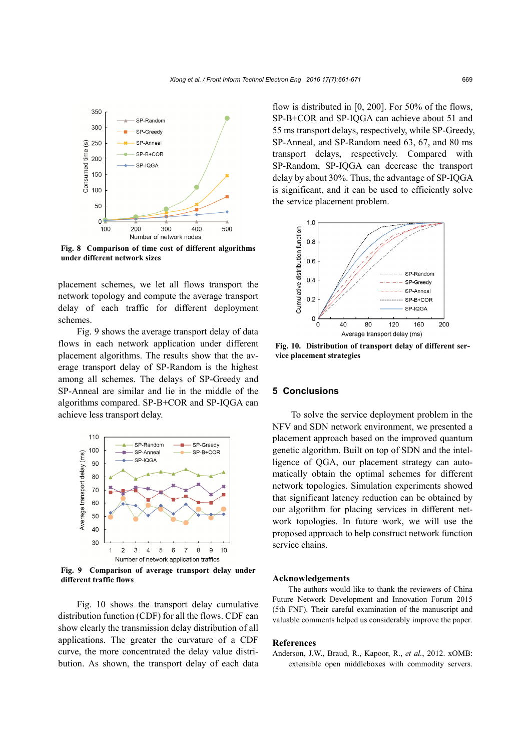

**Fig. 8 Comparison of time cost of different algorithms under different network sizes** 

placement schemes, we let all flows transport the network topology and compute the average transport delay of each traffic for different deployment schemes.

Fig. 9 shows the average transport delay of data flows in each network application under different placement algorithms. The results show that the average transport delay of SP-Random is the highest among all schemes. The delays of SP-Greedy and SP-Anneal are similar and lie in the middle of the algorithms compared. SP-B+COR and SP-IQGA can achieve less transport delay.



**Fig. 9 Comparison of average transport delay under different traffic flows** 

Fig. 10 shows the transport delay cumulative distribution function (CDF) for all the flows. CDF can show clearly the transmission delay distribution of all applications. The greater the curvature of a CDF curve, the more concentrated the delay value distribution. As shown, the transport delay of each data flow is distributed in [0, 200]. For 50% of the flows, SP-B+COR and SP-IQGA can achieve about 51 and 55 ms transport delays, respectively, while SP-Greedy, SP-Anneal, and SP-Random need 63, 67, and 80 ms transport delays, respectively. Compared with SP-Random, SP-IQGA can decrease the transport delay by about 30%. Thus, the advantage of SP-IQGA is significant, and it can be used to efficiently solve the service placement problem.



**Fig. 10. Distribution of transport delay of different service placement strategies** 

## **5 Conclusions**

To solve the service deployment problem in the NFV and SDN network environment, we presented a placement approach based on the improved quantum genetic algorithm. Built on top of SDN and the intelligence of QGA, our placement strategy can automatically obtain the optimal schemes for different network topologies. Simulation experiments showed that significant latency reduction can be obtained by our algorithm for placing services in different network topologies. In future work, we will use the proposed approach to help construct network function service chains.

#### **Acknowledgements**

The authors would like to thank the reviewers of China Future Network Development and Innovation Forum 2015 (5th FNF). Their careful examination of the manuscript and valuable comments helped us considerably improve the paper.

#### **References**

Anderson, J.W., Braud, R., Kapoor, R., *et al.*, 2012. xOMB: extensible open middleboxes with commodity servers.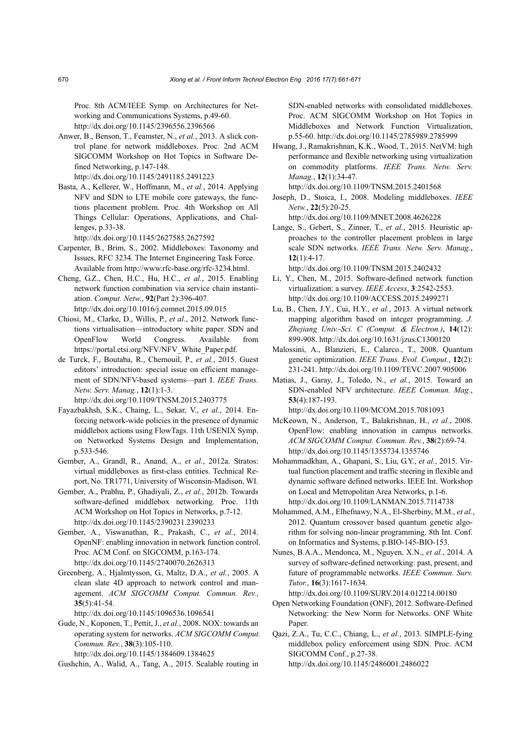Proc. 8th ACM/IEEE Symp. on Architectures for Networking and Communications Systems, p.49-60. http://dx.doi.org/10.1145/2396556.2396566

- Anwer, B., Benson, T., Feamster, N., *et al.*, 2013. A slick control plane for network middleboxes. Proc. 2nd ACM SIGCOMM Workshop on Hot Topics in Software Defined Networking, p.147-148. http://dx.doi.org/10.1145/2491185.2491223
- Basta, A., Kellerer, W., Hoffmann, M., *et al.*, 2014. Applying NFV and SDN to LTE mobile core gateways, the functions placement problem. Proc. 4th Workshop on All Things Cellular: Operations, Applications, and Challenges, p.33-38.

http://dx.doi.org/10.1145/2627585.2627592

- Carpenter, B., Brim, S., 2002. Middleboxes: Taxonomy and Issues, RFC 3234. The Internet Engineering Task Force. Available from http://www.rfc-base.org/rfc-3234.html.
- Cheng, G.Z., Chen, H.C., Hu, H.C., *et al.*, 2015. Enabling network function combination via service chain instantiation. *Comput. Netw.*, **92**(Part 2):396-407. http://dx.doi.org/10.1016/j.comnet.2015.09.015
- Chiosi, M., Clarke, D., Willis, P., *et al.*, 2012. Network functions virtualisation—introductory white paper. SDN and OpenFlow World Congress. Available from https://portal.etsi.org/NFV/NFV\_White\_Paper.pdf.
- de Turck, F., Boutaba, R., Chemouil, P., *et al.*, 2015. Guest editors' introduction: special issue on efficient management of SDN/NFV-based systems—part I. *IEEE Trans. Netw. Serv. Manag.*, **12**(1):1-3. http://dx.doi.org/10.1109/TNSM.2015.2403775
- Fayazbakhsh, S.K., Chaing, L., Sekar, V., *et al.*, 2014. Enforcing network-wide policies in the presence of dynamic middlebox actions using FlowTags. 11th USENIX Symp. on Networked Systems Design and Implementation, p.533-546.
- Gember, A., Grandl, R., Anand, A., *et al.*, 2012a. Stratos: virtual middleboxes as first-class entities. Technical Report, No. TR1771, University of Wisconsin-Madison, WI.
- Gember, A., Prabhu, P., Ghadiyali, Z., *et al.*, 2012b. Towards software-defined middlebox networking. Proc. 11th ACM Workshop on Hot Topics in Networks, p.7-12. http://dx.doi.org/10.1145/2390231.2390233
- Gember, A., Viswanathan, R., Prakash, C., *et al.*, 2014. OpenNF: enabling innovation in network function control. Proc. ACM Conf. on SIGCOMM, p.163-174. http://dx.doi.org/10.1145/2740070.2626313
- Greenberg, A., Hjalmtysson, G., Maltz, D.A., *et al.*, 2005. A clean slate 4D approach to network control and management. *ACM SIGCOMM Comput. Commun. Rev.*, **35**(5):41-54.

http://dx.doi.org/10.1145/1096536.1096541

Gude, N., Koponen, T., Pettit, J., *et al.*, 2008. NOX: towards an operating system for networks. *ACM SIGCOMM Comput. Commun. Rev.*, **38**(3):105-110. http://dx.doi.org/10.1145/1384609.1384625

Gushchin, A., Walid, A., Tang, A., 2015. Scalable routing in

SDN-enabled networks with consolidated middleboxes. Proc. ACM SIGCOMM Workshop on Hot Topics in Middleboxes and Network Function Virtualization, p.55-60. http://dx.doi.org/10.1145/2785989.2785999

Hwang, J., Ramakrishnan, K.K., Wood, T., 2015. NetVM: high performance and flexible networking using virtualization on commodity platforms. *IEEE Trans. Netw. Serv. Manag.*, **12**(1):34-47.

http://dx.doi.org/10.1109/TNSM.2015.2401568

Joseph, D., Stoica, I., 2008. Modeling middleboxes. *IEEE Netw.*, **22**(5):20-25.

http://dx.doi.org/10.1109/MNET.2008.4626228

Lange, S., Gebert, S., Zinner, T., *et al.*, 2015. Heuristic approaches to the controller placement problem in large scale SDN networks. *IEEE Trans. Netw. Serv. Manag.*, **12**(1):4-17.

http://dx.doi.org/10.1109/TNSM.2015.2402432 Li, Y., Chen, M., 2015. Software-defined network function

- virtualization: a survey. *IEEE Access*, **3**:2542-2553. http://dx.doi.org/10.1109/ACCESS.2015.2499271
- Lu, B., Chen, J.Y., Cui, H.Y., *et al.*, 2013. A virtual network mapping algorithm based on integer programming. *J. Zhejiang Univ.-Sci. C (Comput. & Electron.)*, **14**(12): 899-908. http://dx.doi.org/10.1631/jzus.C1300120
- Malossini, A., Blanzieri, E., Calarco., T., 2008. Quantum genetic optimization. *IEEE Trans. Evol. Comput.*, **12**(2): 231-241. http://dx.doi.org/10.1109/TEVC.2007.905006
- Matias, J., Garay, J., Toledo, N., *et al.*, 2015. Toward an SDN-enabled NFV architecture. *IEEE Commun. Mag.*, **53**(4):187-193.

http://dx.doi.org/10.1109/MCOM.2015.7081093

- McKeown, N., Anderson, T., Balakrishnan, H., *et al.*, 2008. OpenFlow: enabling innovation in campus networks. *ACM SIGCOMM Comput. Commun. Rev.*, **38**(2):69-74. http://dx.doi.org/10.1145/1355734.1355746
- Mohammadkhan, A., Ghapani, S., Liu, G.Y., *et al.*, 2015. Virtual function placement and traffic steering in flexible and dynamic software defined networks. IEEE Int. Workshop on Local and Metropolitan Area Networks, p.1-6. http://dx.doi.org/10.1109/LANMAN.2015.7114738
- Mohammed, A.M., Elhefnawy, N.A., El-Sherbiny, M.M., *et al.*, 2012. Quantum crossover based quantum genetic algorithm for solving non-linear programming. 8th Int. Conf. on Informatics and Systems, p.BIO-145-BIO-153.
- Nunes, B.A.A., Mendonca, M., Nguyen, X.N., *et al.*, 2014. A survey of software-defined networking: past, present, and future of programmable networks. *IEEE Commun. Surv. Tutor.*, **16**(3):1617-1634.

http://dx.doi.org/10.1109/SURV.2014.012214.00180

- Open Networking Foundation (ONF), 2012. Software-Defined Networking: the New Norm for Networks. ONF White Paper.
- Qazi, Z.A., Tu, C.C., Chiang, L., *et al.*, 2013. SIMPLE-fying middlebox policy enforcement using SDN. Proc. ACM SIGCOMM Conf., p.27-38. http://dx.doi.org/10.1145/2486001.2486022